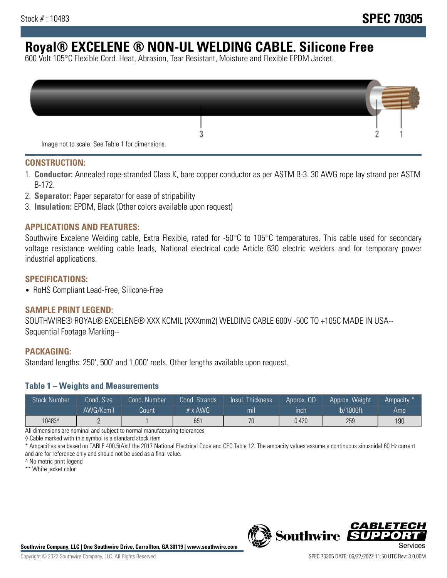# **Royal® EXCELENE ® NON-UL WELDING CABLE. Silicone Free**

600 Volt 105°C Flexible Cord. Heat, Abrasion, Tear Resistant, Moisture and Flexible EPDM Jacket.

| Image not to scale. See Table 1 for dimensions. |  |
|-------------------------------------------------|--|

#### **CONSTRUCTION:**

- 1. **Conductor:** Annealed rope-stranded Class K, bare copper conductor as per ASTM B-3. 30 AWG rope lay strand per ASTM B-172.
- 2. **Separator:** Paper separator for ease of stripability
- 3. **Insulation:** EPDM, Black (Other colors available upon request)

#### **APPLICATIONS AND FEATURES:**

Southwire Excelene Welding cable, Extra Flexible, rated for -50°C to 105°C temperatures. This cable used for secondary voltage resistance welding cable leads, National electrical code Article 630 electric welders and for temporary power industrial applications.

#### **SPECIFICATIONS:**

• RoHS Compliant Lead-Free, Silicone-Free

#### **SAMPLE PRINT LEGEND:**

SOUTHWIRE® ROYAL® EXCELENE® XXX KCMIL (XXXmm2) WELDING CABLE 600V -50C TO +105C MADE IN USA-- Sequential Footage Marking--

#### **PACKAGING:**

Standard lengths: 250', 500' and 1,000' reels. Other lengths available upon request.

#### **Table 1 – Weights and Measurements**

| <b>Stock Number</b> | Cond. Size | Cond. Number | Cond. Strands  | Insul. Thickness | Approx. OD | Approx. Weight | Ampacity * |
|---------------------|------------|--------------|----------------|------------------|------------|----------------|------------|
|                     | AWG/Kcmil  | Count        | $# \times$ AWG | mı               | inch       | lb/1000ft      | Amp        |
| 10483^              |            |              | 651            | 70               | 0.420      | 259            | 190        |

All dimensions are nominal and subject to normal manufacturing tolerances

◊ Cable marked with this symbol is a standard stock item

\* Ampacities are based on TABLE 400.5(A)of the 2017 National Electrical Code and CEC Table 12. The ampacity values assume a continuous sinusoidal 60 Hz current and are for reference only and should not be used as a final value.

^ No metric print legend

\*\* White jacket color



*CABLE*